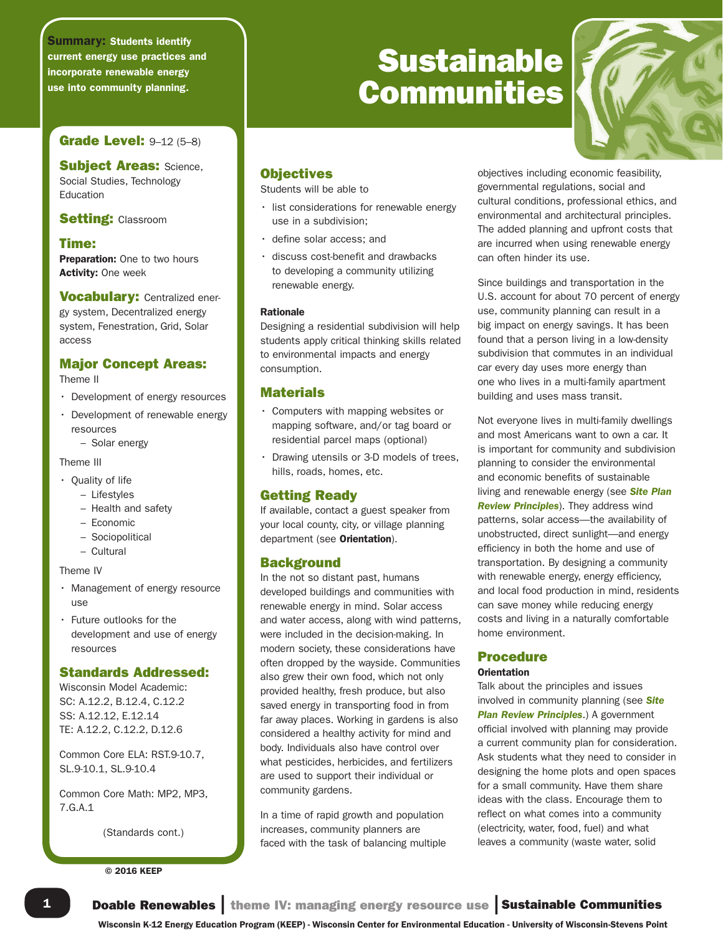Summary: Students identify current energy use practices and incorporate renewable energy use into community planning.

# **Grade Level: 9-12 (5-8)**

**Subject Areas: Science,** Social Studies, Technology Education

# **Setting: Classroom**

# Time:

Preparation: One to two hours Activity: One week

Vocabulary: Centralized energy system, Decentralized energy system, Fenestration, Grid, Solar access

# Major Concept Areas:

Theme II

- Development of energy resources
- Development of renewable energy resources
	- Solar energy

# Theme III

- Quality of life
	- Lifestyles
	- Health and safety
	- Economic
	- Sociopolitical
	- Cultural

## Theme IV

- Management of energy resource use
- Future outlooks for the development and use of energy resources

# Standards Addressed:

Wisconsin Model Academic: SC: A.12.2, B.12.4, C.12.2 SS: A.12.12, E.12.14 TE: A.12.2, C.12.2, D.12.6

Common Core ELA: RST.9-10.7, SL.9-10.1, SL.9-10.4

Common Core Math: MP2, MP3, 7.G.A.1

(Standards cont.)

## © 2016 KEEP

# **Sustainable** Communities



# **Objectives**

Students will be able to

- list considerations for renewable energy use in a subdivision;
- define solar access; and
- discuss cost-benefit and drawbacks to developing a community utilizing renewable energy.

## Rationale

Designing a residential subdivision will help students apply critical thinking skills related to environmental impacts and energy consumption.

# Materials

- Computers with mapping websites or mapping software, and/or tag board or residential parcel maps (optional)
- Drawing utensils or 3-D models of trees, hills, roads, homes, etc.

# Getting Ready

If available, contact a guest speaker from your local county, city, or village planning department (see Orientation).

# **Background**

In the not so distant past, humans developed buildings and communities with renewable energy in mind. Solar access and water access, along with wind patterns, were included in the decision-making. In modern society, these considerations have often dropped by the wayside. Communities also grew their own food, which not only provided healthy, fresh produce, but also saved energy in transporting food in from far away places. Working in gardens is also considered a healthy activity for mind and body. Individuals also have control over what pesticides, herbicides, and fertilizers are used to support their individual or community gardens.

In a time of rapid growth and population increases, community planners are faced with the task of balancing multiple objectives including economic feasibility, governmental regulations, social and cultural conditions, professional ethics, and environmental and architectural principles. The added planning and upfront costs that are incurred when using renewable energy can often hinder its use.

Since buildings and transportation in the U.S. account for about 70 percent of energy use, community planning can result in a big impact on energy savings. It has been found that a person living in a low-density subdivision that commutes in an individual car every day uses more energy than one who lives in a multi-family apartment building and uses mass transit.

Not everyone lives in multi-family dwellings and most Americans want to own a car. It is important for community and subdivision planning to consider the environmental and economic benefits of sustainable living and renewable energy (see *Site Plan Review Principles*). They address wind patterns, solar access—the availability of unobstructed, direct sunlight—and energy efficiency in both the home and use of transportation. By designing a community with renewable energy, energy efficiency, and local food production in mind, residents can save money while reducing energy costs and living in a naturally comfortable home environment.

# Procedure

## **Orientation**

Talk about the principles and issues involved in community planning (see *Site Plan Review Principles*.) A government official involved with planning may provide a current community plan for consideration. Ask students what they need to consider in designing the home plots and open spaces for a small community. Have them share ideas with the class. Encourage them to reflect on what comes into a community (electricity, water, food, fuel) and what leaves a community (waste water, solid

Wisconsin K-12 Energy Education Program (KEEP) - Wisconsin Center for Environmental Education - University of Wisconsin-Stevens Point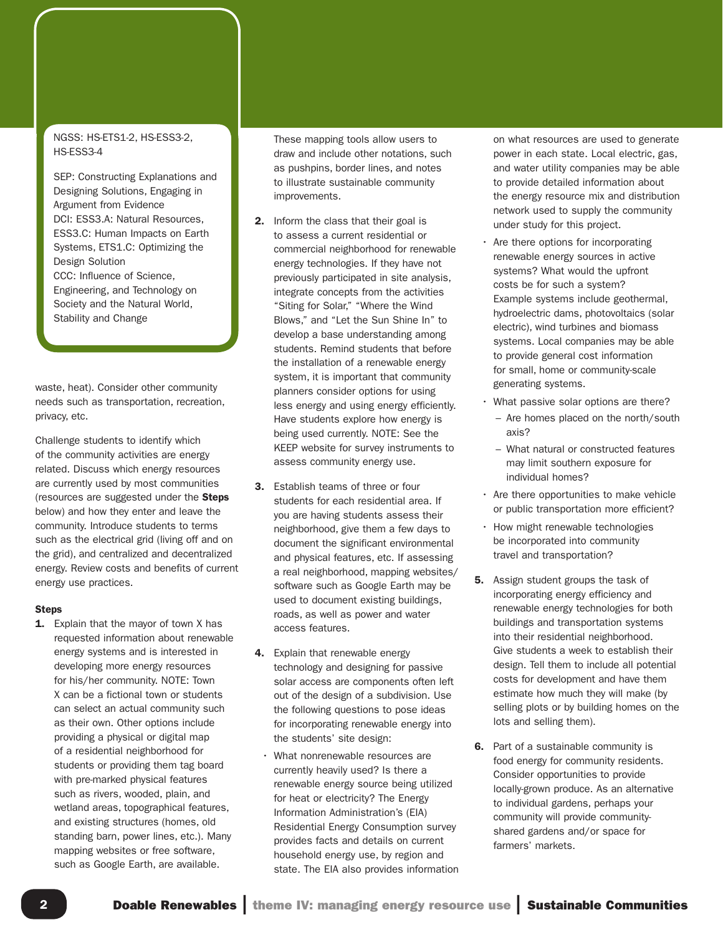## NGSS: HS-ETS1-2, HS-ESS3-2, HS-ESS3-4

SEP: Constructing Explanations and Designing Solutions, Engaging in Argument from Evidence DCI: ESS3.A: Natural Resources, ESS3.C: Human Impacts on Earth Systems, ETS1.C: Optimizing the Design Solution CCC: Influence of Science, Engineering, and Technology on Society and the Natural World, Stability and Change

waste, heat). Consider other community needs such as transportation, recreation, privacy, etc.

Challenge students to identify which of the community activities are energy related. Discuss which energy resources are currently used by most communities (resources are suggested under the Steps below) and how they enter and leave the community. Introduce students to terms such as the electrical grid (living off and on the grid), and centralized and decentralized energy. Review costs and benefits of current energy use practices.

## **Steps**

**1.** Explain that the mayor of town X has requested information about renewable energy systems and is interested in developing more energy resources for his/her community. NOTE: Town X can be a fictional town or students can select an actual community such as their own. Other options include providing a physical or digital map of a residential neighborhood for students or providing them tag board with pre-marked physical features such as rivers, wooded, plain, and wetland areas, topographical features, and existing structures (homes, old standing barn, power lines, etc.). Many mapping websites or free software, such as Google Earth, are available.

These mapping tools allow users to draw and include other notations, such as pushpins, border lines, and notes to illustrate sustainable community improvements.

- 2. Inform the class that their goal is to assess a current residential or commercial neighborhood for renewable energy technologies. If they have not previously participated in site analysis, integrate concepts from the activities "Siting for Solar," "Where the Wind Blows," and "Let the Sun Shine In" to develop a base understanding among students. Remind students that before the installation of a renewable energy system, it is important that community planners consider options for using less energy and using energy efficiently. Have students explore how energy is being used currently. NOTE: See the KEEP website for survey instruments to assess community energy use.
- 3. Establish teams of three or four students for each residential area. If you are having students assess their neighborhood, give them a few days to document the significant environmental and physical features, etc. If assessing a real neighborhood, mapping websites/ software such as Google Earth may be used to document existing buildings, roads, as well as power and water access features.
- 4. Explain that renewable energy technology and designing for passive solar access are components often left out of the design of a subdivision. Use the following questions to pose ideas for incorporating renewable energy into the students' site design:
	- What nonrenewable resources are currently heavily used? Is there a renewable energy source being utilized for heat or electricity? The Energy Information Administration's (EIA) Residential Energy Consumption survey provides facts and details on current household energy use, by region and state. The EIA also provides information

on what resources are used to generate power in each state. Local electric, gas, and water utility companies may be able to provide detailed information about the energy resource mix and distribution network used to supply the community under study for this project.

- Are there options for incorporating renewable energy sources in active systems? What would the upfront costs be for such a system? Example systems include geothermal, hydroelectric dams, photovoltaics (solar electric), wind turbines and biomass systems. Local companies may be able to provide general cost information for small, home or community-scale generating systems.
- What passive solar options are there?
	- Are homes placed on the north/south axis?
	- What natural or constructed features may limit southern exposure for individual homes?
- Are there opportunities to make vehicle or public transportation more efficient?
- How might renewable technologies be incorporated into community travel and transportation?
- **5.** Assign student groups the task of incorporating energy efficiency and renewable energy technologies for both buildings and transportation systems into their residential neighborhood. Give students a week to establish their design. Tell them to include all potential costs for development and have them estimate how much they will make (by selling plots or by building homes on the lots and selling them).
- 6. Part of a sustainable community is food energy for community residents. Consider opportunities to provide locally-grown produce. As an alternative to individual gardens, perhaps your community will provide communityshared gardens and/or space for farmers' markets.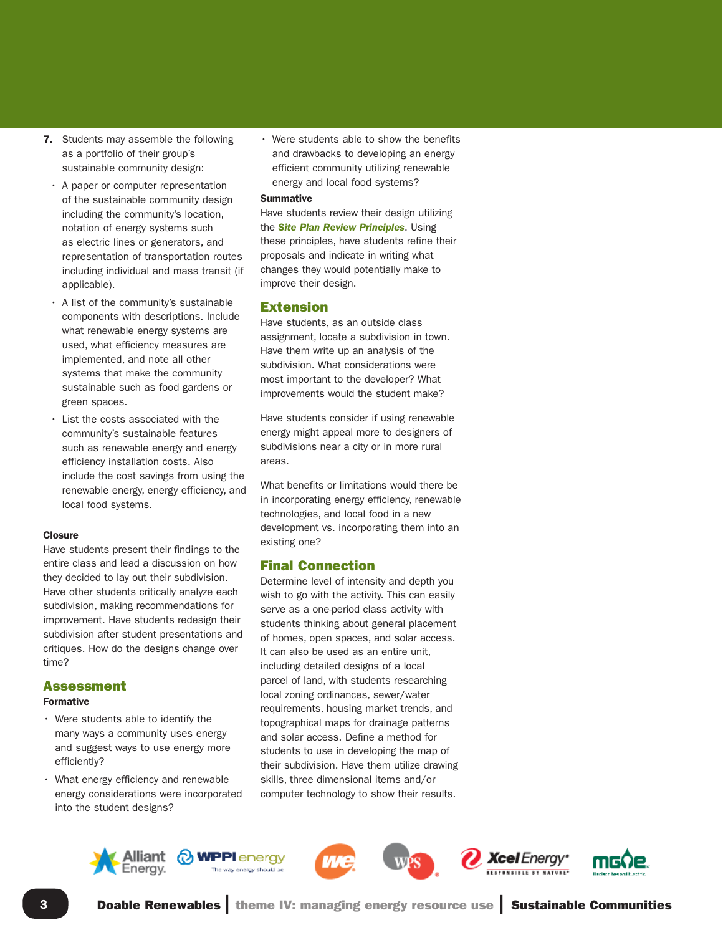- 7. Students may assemble the following as a portfolio of their group's sustainable community design:
- A paper or computer representation of the sustainable community design including the community's location, notation of energy systems such as electric lines or generators, and representation of transportation routes including individual and mass transit (if applicable).
- A list of the community's sustainable components with descriptions. Include what renewable energy systems are used, what efficiency measures are implemented, and note all other systems that make the community sustainable such as food gardens or green spaces.
- List the costs associated with the community's sustainable features such as renewable energy and energy efficiency installation costs. Also include the cost savings from using the renewable energy, energy efficiency, and local food systems.

## **Closure**

Have students present their findings to the entire class and lead a discussion on how they decided to lay out their subdivision. Have other students critically analyze each subdivision, making recommendations for improvement. Have students redesign their subdivision after student presentations and critiques. How do the designs change over time?

# Assessment

## Formative

- Were students able to identify the many ways a community uses energy and suggest ways to use energy more efficiently?
- What energy efficiency and renewable energy considerations were incorporated into the student designs?

• Were students able to show the benefits and drawbacks to developing an energy efficient community utilizing renewable energy and local food systems?

#### **Summative**

Have students review their design utilizing the *Site Plan Review Principles*. Using these principles, have students refine their proposals and indicate in writing what changes they would potentially make to improve their design.

## Extension

Have students, as an outside class assignment, locate a subdivision in town. Have them write up an analysis of the subdivision. What considerations were most important to the developer? What improvements would the student make?

Have students consider if using renewable energy might appeal more to designers of subdivisions near a city or in more rural areas.

What benefits or limitations would there be in incorporating energy efficiency, renewable technologies, and local food in a new development vs. incorporating them into an existing one?

# Final Connection

Determine level of intensity and depth you wish to go with the activity. This can easily serve as a one-period class activity with students thinking about general placement of homes, open spaces, and solar access. It can also be used as an entire unit, including detailed designs of a local parcel of land, with students researching local zoning ordinances, sewer/water requirements, housing market trends, and topographical maps for drainage patterns and solar access. Define a method for students to use in developing the map of their subdivision. Have them utilize drawing skills, three dimensional items and/or computer technology to show their results.